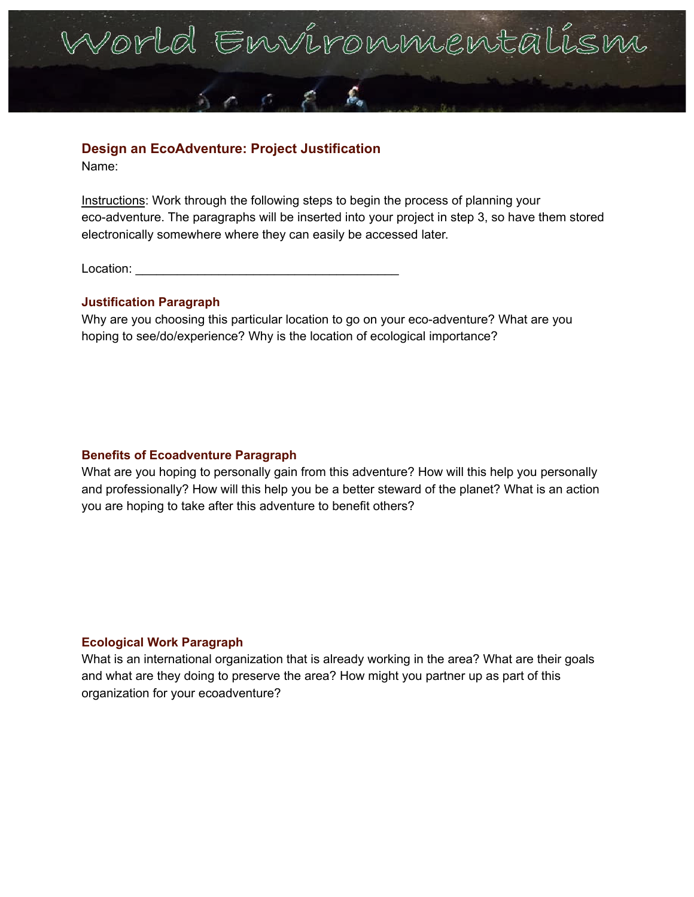

## **Design an EcoAdventure: Project Justification**

Name:

Instructions: Work through the following steps to begin the process of planning your eco-adventure. The paragraphs will be inserted into your project in step 3, so have them stored electronically somewhere where they can easily be accessed later.

Location: **Location:** 

## **Justification Paragraph**

Why are you choosing this particular location to go on your eco-adventure? What are you hoping to see/do/experience? Why is the location of ecological importance?

## **Benefits of Ecoadventure Paragraph**

What are you hoping to personally gain from this adventure? How will this help you personally and professionally? How will this help you be a better steward of the planet? What is an action you are hoping to take after this adventure to benefit others?

## **Ecological Work Paragraph**

What is an international organization that is already working in the area? What are their goals and what are they doing to preserve the area? How might you partner up as part of this organization for your ecoadventure?